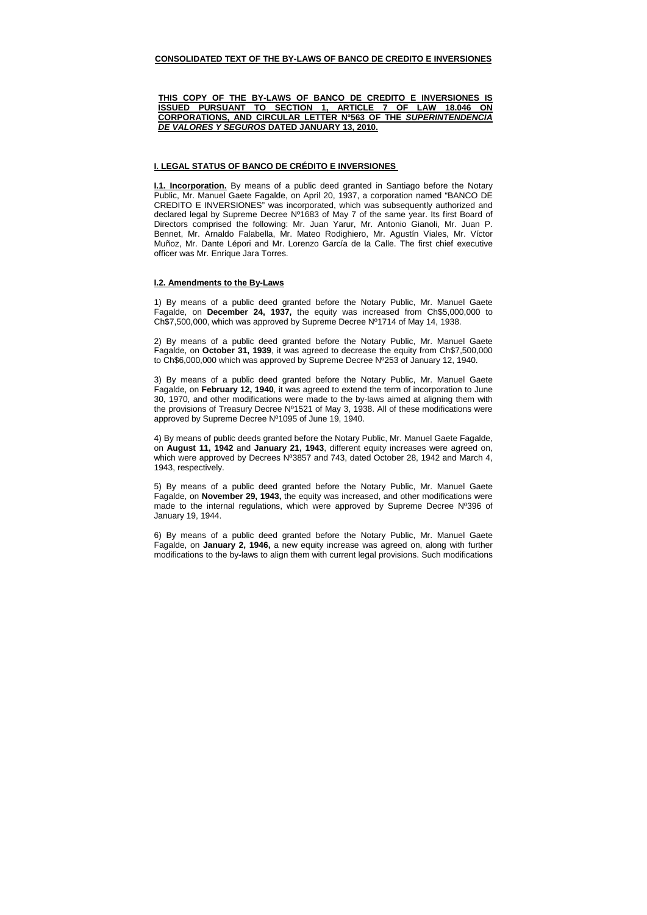### **CONSOLIDATED TEXT OF THE BY-LAWS OF BANCO DE CREDITO E INVERSIONES**

# **THIS COPY OF THE BY-LAWS OF BANCO DE CREDITO E INVERSIONES IS ISSUED PURSUANT TO SECTION 1, ARTICLE 7 OF LAW 18.046 ON CORPORATIONS, AND CIRCULAR LETTER Nº563 OF THE SUPERINTENDENCIA DE VALORES Y SEGUROS DATED JANUARY 13, 2010.**

### **I. LEGAL STATUS OF BANCO DE CRÉDITO E INVERSIONES**

**I.1. Incorporation.** By means of a public deed granted in Santiago before the Notary Public, Mr. Manuel Gaete Fagalde, on April 20, 1937, a corporation named "BANCO DE CREDITO E INVERSIONES" was incorporated, which was subsequently authorized and declared legal by Supreme Decree Nº1683 of May 7 of the same year. Its first Board of Directors comprised the following: Mr. Juan Yarur, Mr. Antonio Gianoli, Mr. Juan P. Bennet, Mr. Arnaldo Falabella, Mr. Mateo Rodighiero, Mr. Agustín Viales, Mr. Víctor Muñoz, Mr. Dante Lépori and Mr. Lorenzo García de la Calle. The first chief executive officer was Mr. Enrique Jara Torres.

### **I.2. Amendments to the By-Laws**

1) By means of a public deed granted before the Notary Public, Mr. Manuel Gaete Fagalde, on **December 24, 1937,** the equity was increased from Ch\$5,000,000 to Ch\$7,500,000, which was approved by Supreme Decree Nº1714 of May 14, 1938.

2) By means of a public deed granted before the Notary Public, Mr. Manuel Gaete Fagalde, on **October 31, 1939**, it was agreed to decrease the equity from Ch\$7,500,000 to Ch\$6,000,000 which was approved by Supreme Decree Nº253 of January 12, 1940.

3) By means of a public deed granted before the Notary Public, Mr. Manuel Gaete Fagalde, on **February 12, 1940**, it was agreed to extend the term of incorporation to June 30, 1970, and other modifications were made to the by-laws aimed at aligning them with the provisions of Treasury Decree Nº1521 of May 3, 1938. All of these modifications were approved by Supreme Decree Nº1095 of June 19, 1940.

4) By means of public deeds granted before the Notary Public, Mr. Manuel Gaete Fagalde, on **August 11, 1942** and **January 21, 1943**, different equity increases were agreed on, which were approved by Decrees Nº3857 and 743, dated October 28, 1942 and March 4, 1943, respectively.

5) By means of a public deed granted before the Notary Public, Mr. Manuel Gaete Fagalde, on **November 29, 1943,** the equity was increased, and other modifications were made to the internal regulations, which were approved by Supreme Decree Nº396 of January 19, 1944.

6) By means of a public deed granted before the Notary Public, Mr. Manuel Gaete Fagalde, on **January 2, 1946,** a new equity increase was agreed on, along with further modifications to the by-laws to align them with current legal provisions. Such modifications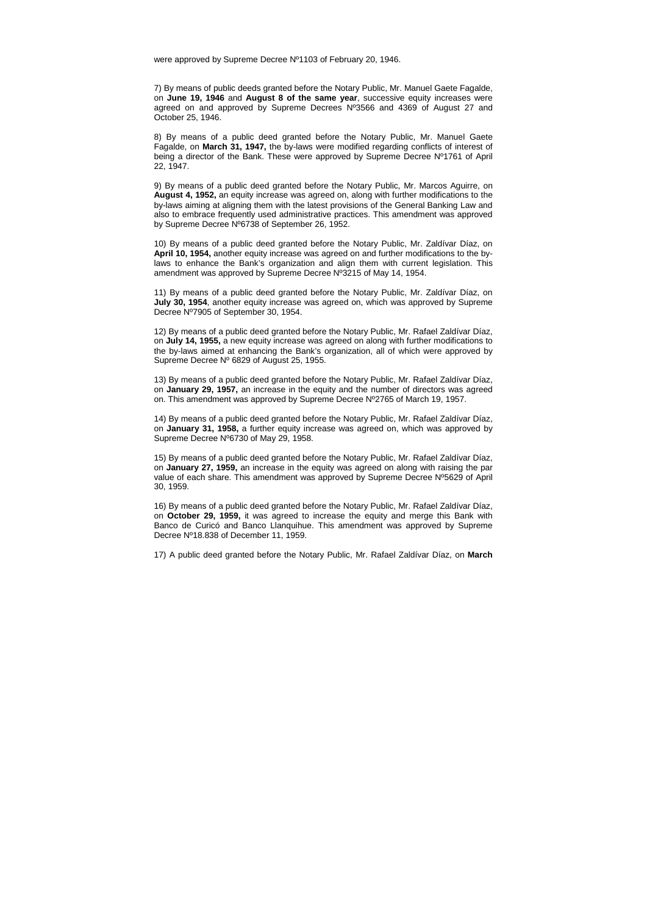were approved by Supreme Decree Nº1103 of February 20, 1946.

7) By means of public deeds granted before the Notary Public, Mr. Manuel Gaete Fagalde, on **June 19, 1946** and **August 8 of the same year**, successive equity increases were agreed on and approved by Supreme Decrees Nº3566 and 4369 of August 27 and October 25, 1946.

8) By means of a public deed granted before the Notary Public, Mr. Manuel Gaete Fagalde, on **March 31, 1947,** the by-laws were modified regarding conflicts of interest of being a director of the Bank. These were approved by Supreme Decree Nº1761 of April 22, 1947.

9) By means of a public deed granted before the Notary Public, Mr. Marcos Aguirre, on **August 4, 1952,** an equity increase was agreed on, along with further modifications to the by-laws aiming at aligning them with the latest provisions of the General Banking Law and also to embrace frequently used administrative practices. This amendment was approved by Supreme Decree Nº6738 of September 26, 1952.

10) By means of a public deed granted before the Notary Public, Mr. Zaldívar Díaz, on **April 10, 1954,** another equity increase was agreed on and further modifications to the bylaws to enhance the Bank's organization and align them with current legislation. This amendment was approved by Supreme Decree Nº3215 of May 14, 1954.

11) By means of a public deed granted before the Notary Public, Mr. Zaldívar Díaz, on **July 30, 1954**, another equity increase was agreed on, which was approved by Supreme Decree Nº7905 of September 30, 1954.

12) By means of a public deed granted before the Notary Public, Mr. Rafael Zaldívar Díaz, on **July 14, 1955,** a new equity increase was agreed on along with further modifications to the by-laws aimed at enhancing the Bank's organization, all of which were approved by Supreme Decree Nº 6829 of August 25, 1955.

13) By means of a public deed granted before the Notary Public, Mr. Rafael Zaldívar Díaz, on **January 29, 1957,** an increase in the equity and the number of directors was agreed on. This amendment was approved by Supreme Decree Nº2765 of March 19, 1957.

14) By means of a public deed granted before the Notary Public, Mr. Rafael Zaldívar Díaz, on **January 31, 1958,** a further equity increase was agreed on, which was approved by Supreme Decree Nº6730 of May 29, 1958.

15) By means of a public deed granted before the Notary Public, Mr. Rafael Zaldívar Díaz, on **January 27, 1959,** an increase in the equity was agreed on along with raising the par value of each share. This amendment was approved by Supreme Decree Nº5629 of April 30, 1959.

16) By means of a public deed granted before the Notary Public, Mr. Rafael Zaldívar Díaz, on **October 29, 1959,** it was agreed to increase the equity and merge this Bank with Banco de Curicó and Banco Llanquihue. This amendment was approved by Supreme Decree Nº18.838 of December 11, 1959.

17) A public deed granted before the Notary Public, Mr. Rafael Zaldívar Díaz, on **March**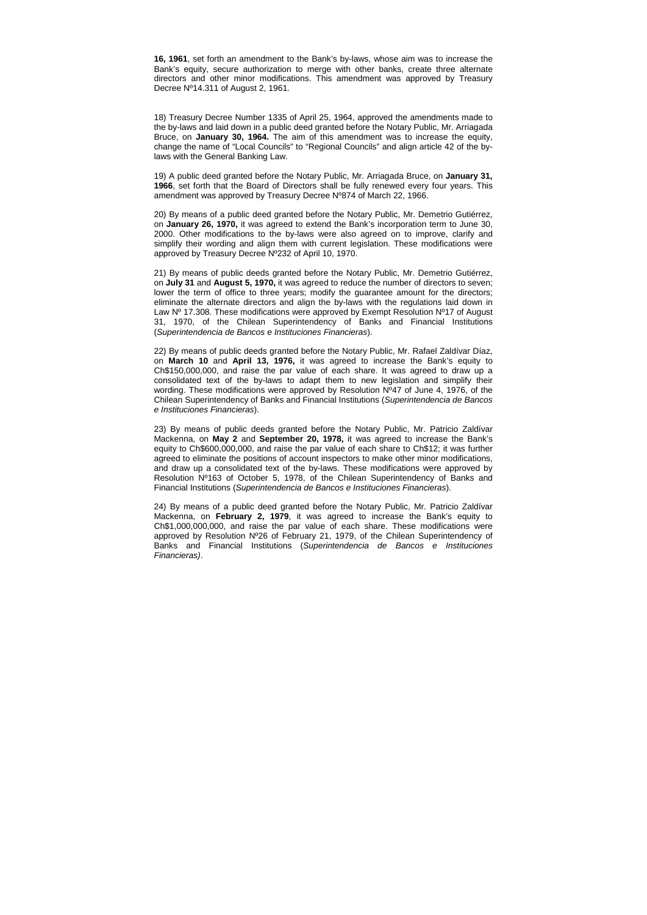**16, 1961**, set forth an amendment to the Bank's by-laws, whose aim was to increase the Bank's equity, secure authorization to merge with other banks, create three alternate directors and other minor modifications. This amendment was approved by Treasury Decree Nº14.311 of August 2, 1961.

18) Treasury Decree Number 1335 of April 25, 1964, approved the amendments made to the by-laws and laid down in a public deed granted before the Notary Public, Mr. Arriagada Bruce, on **January 30, 1964.** The aim of this amendment was to increase the equity, change the name of "Local Councils" to "Regional Councils" and align article 42 of the bylaws with the General Banking Law.

19) A public deed granted before the Notary Public, Mr. Arriagada Bruce, on **January 31, 1966**, set forth that the Board of Directors shall be fully renewed every four years. This amendment was approved by Treasury Decree Nº874 of March 22, 1966.

20) By means of a public deed granted before the Notary Public, Mr. Demetrio Gutiérrez, on **January 26, 1970,** it was agreed to extend the Bank's incorporation term to June 30, 2000. Other modifications to the by-laws were also agreed on to improve, clarify and simplify their wording and align them with current legislation. These modifications were approved by Treasury Decree Nº232 of April 10, 1970.

21) By means of public deeds granted before the Notary Public, Mr. Demetrio Gutiérrez, on **July 31** and **August 5, 1970,** it was agreed to reduce the number of directors to seven; lower the term of office to three years; modify the guarantee amount for the directors; eliminate the alternate directors and align the by-laws with the regulations laid down in Law  $N^{\circ}$  17.308. These modifications were approved by Exempt Resolution  $N^{\circ}$  17 of August 31, 1970, of the Chilean Superintendency of Banks and Financial Institutions (Superintendencia de Bancos e Instituciones Financieras).

22) By means of public deeds granted before the Notary Public, Mr. Rafael Zaldívar Díaz, on **March 10** and **April 13, 1976,** it was agreed to increase the Bank's equity to Ch\$150,000,000, and raise the par value of each share. It was agreed to draw up a consolidated text of the by-laws to adapt them to new legislation and simplify their wording. These modifications were approved by Resolution Nº47 of June 4, 1976, of the Chilean Superintendency of Banks and Financial Institutions (Superintendencia de Bancos e Instituciones Financieras).

23) By means of public deeds granted before the Notary Public, Mr. Patricio Zaldívar Mackenna, on **May 2** and **September 20, 1978,** it was agreed to increase the Bank's equity to Ch\$600,000,000, and raise the par value of each share to Ch\$12; it was further agreed to eliminate the positions of account inspectors to make other minor modifications, and draw up a consolidated text of the by-laws. These modifications were approved by Resolution Nº163 of October 5, 1978, of the Chilean Superintendency of Banks and Financial Institutions (Superintendencia de Bancos e Instituciones Financieras).

24) By means of a public deed granted before the Notary Public, Mr. Patricio Zaldívar Mackenna, on **February 2, 1979**, it was agreed to increase the Bank's equity to Ch\$1,000,000,000, and raise the par value of each share. These modifications were approved by Resolution Nº26 of February 21, 1979, of the Chilean Superintendency of Banks and Financial Institutions (Superintendencia de Bancos e Instituciones Financieras).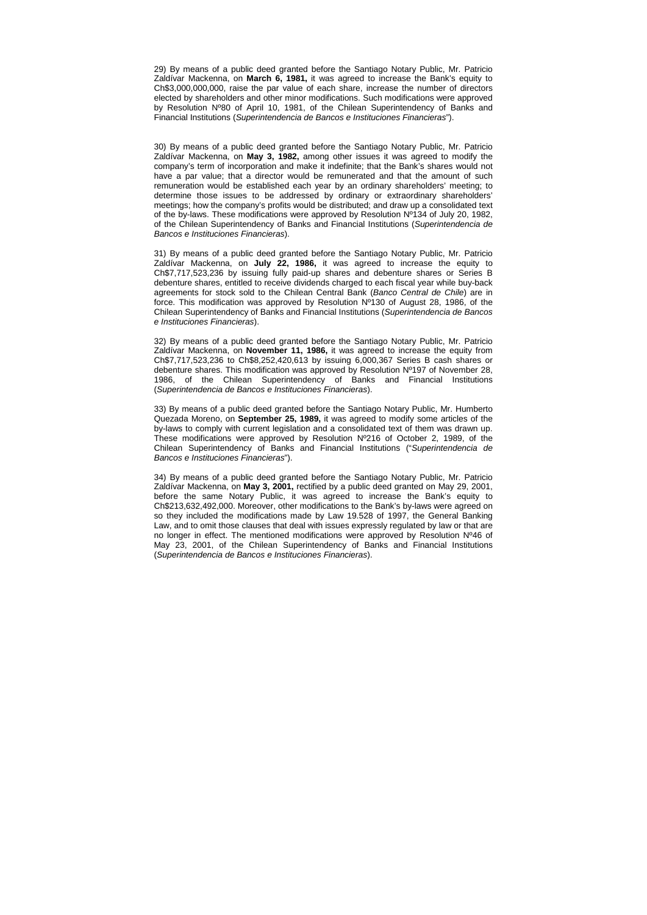29) By means of a public deed granted before the Santiago Notary Public, Mr. Patricio Zaldívar Mackenna, on **March 6, 1981,** it was agreed to increase the Bank's equity to Ch\$3,000,000,000, raise the par value of each share, increase the number of directors elected by shareholders and other minor modifications. Such modifications were approved by Resolution Nº80 of April 10, 1981, of the Chilean Superintendency of Banks and Financial Institutions (Superintendencia de Bancos e Instituciones Financieras").

30) By means of a public deed granted before the Santiago Notary Public, Mr. Patricio Zaldívar Mackenna, on **May 3, 1982,** among other issues it was agreed to modify the company's term of incorporation and make it indefinite; that the Bank's shares would not have a par value; that a director would be remunerated and that the amount of such remuneration would be established each year by an ordinary shareholders' meeting; to determine those issues to be addressed by ordinary or extraordinary shareholders' meetings; how the company's profits would be distributed; and draw up a consolidated text of the by-laws. These modifications were approved by Resolution Nº134 of July 20, 1982, of the Chilean Superintendency of Banks and Financial Institutions (Superintendencia de Bancos e Instituciones Financieras).

31) By means of a public deed granted before the Santiago Notary Public, Mr. Patricio Zaldívar Mackenna, on **July 22, 1986,** it was agreed to increase the equity to Ch\$7,717,523,236 by issuing fully paid-up shares and debenture shares or Series B debenture shares, entitled to receive dividends charged to each fiscal year while buy-back agreements for stock sold to the Chilean Central Bank (Banco Central de Chile) are in force. This modification was approved by Resolution Nº130 of August 28, 1986, of the Chilean Superintendency of Banks and Financial Institutions (Superintendencia de Bancos e Instituciones Financieras).

32) By means of a public deed granted before the Santiago Notary Public, Mr. Patricio Zaldívar Mackenna, on **November 11, 1986,** it was agreed to increase the equity from Ch\$7,717,523,236 to Ch\$8,252,420,613 by issuing 6,000,367 Series B cash shares or debenture shares. This modification was approved by Resolution Nº197 of November 28, 1986, of the Chilean Superintendency of Banks and Financial Institutions (Superintendencia de Bancos e Instituciones Financieras).

33) By means of a public deed granted before the Santiago Notary Public, Mr. Humberto Quezada Moreno, on **September 25, 1989,** it was agreed to modify some articles of the by-laws to comply with current legislation and a consolidated text of them was drawn up. These modifications were approved by Resolution Nº216 of October 2, 1989, of the Chilean Superintendency of Banks and Financial Institutions ("Superintendencia de Bancos e Instituciones Financieras").

34) By means of a public deed granted before the Santiago Notary Public, Mr. Patricio Zaldívar Mackenna, on **May 3, 2001,** rectified by a public deed granted on May 29, 2001, before the same Notary Public, it was agreed to increase the Bank's equity to Ch\$213,632,492,000. Moreover, other modifications to the Bank's by-laws were agreed on so they included the modifications made by Law 19.528 of 1997, the General Banking Law, and to omit those clauses that deal with issues expressly regulated by law or that are no longer in effect. The mentioned modifications were approved by Resolution Nº46 of May 23, 2001, of the Chilean Superintendency of Banks and Financial Institutions (Superintendencia de Bancos e Instituciones Financieras).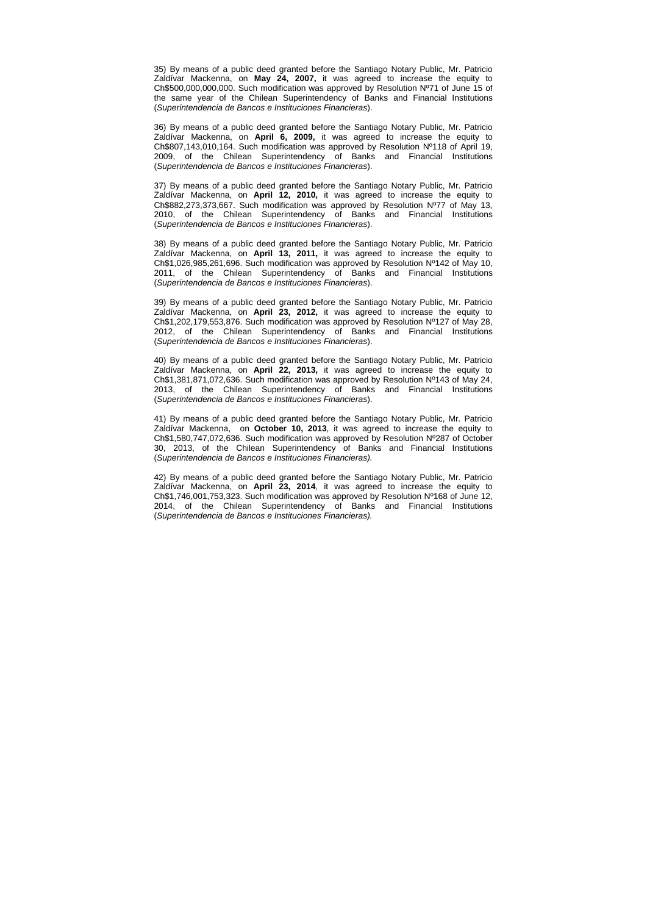35) By means of a public deed granted before the Santiago Notary Public, Mr. Patricio Zaldívar Mackenna, on **May 24, 2007,** it was agreed to increase the equity to Ch\$500,000,000,000. Such modification was approved by Resolution Nº71 of June 15 of the same year of the Chilean Superintendency of Banks and Financial Institutions (Superintendencia de Bancos e Instituciones Financieras).

36) By means of a public deed granted before the Santiago Notary Public, Mr. Patricio Zaldívar Mackenna, on **April 6, 2009,** it was agreed to increase the equity to Ch\$807,143,010,164. Such modification was approved by Resolution Nº118 of April 19, 2009, of the Chilean Superintendency of Banks and Financial Institutions (Superintendencia de Bancos e Instituciones Financieras).

37) By means of a public deed granted before the Santiago Notary Public, Mr. Patricio Zaldívar Mackenna, on **April 12, 2010,** it was agreed to increase the equity to Ch\$882,273,373,667. Such modification was approved by Resolution Nº77 of May 13, 2010, of the Chilean Superintendency of Banks and Financial Institutions (Superintendencia de Bancos e Instituciones Financieras).

38) By means of a public deed granted before the Santiago Notary Public, Mr. Patricio Zaldívar Mackenna, on **April 13, 2011,** it was agreed to increase the equity to Ch\$1,026,985,261,696. Such modification was approved by Resolution Nº142 of May 10, 2011, of the Chilean Superintendency of Banks and Financial Institutions (Superintendencia de Bancos e Instituciones Financieras).

39) By means of a public deed granted before the Santiago Notary Public, Mr. Patricio Zaldívar Mackenna, on **April 23, 2012,** it was agreed to increase the equity to Ch\$1,202,179,553,876. Such modification was approved by Resolution Nº127 of May 28, 2012, of the Chilean Superintendency of Banks and Financial Institutions (Superintendencia de Bancos e Instituciones Financieras).

40) By means of a public deed granted before the Santiago Notary Public, Mr. Patricio Zaldívar Mackenna, on **April 22, 2013,** it was agreed to increase the equity to Ch\$1,381,871,072,636. Such modification was approved by Resolution Nº143 of May 24, 2013, of the Chilean Superintendency of Banks and Financial Institutions (Superintendencia de Bancos e Instituciones Financieras).

41) By means of a public deed granted before the Santiago Notary Public, Mr. Patricio Zaldívar Mackenna, on **October 10, 2013**, it was agreed to increase the equity to Ch\$1,580,747,072,636. Such modification was approved by Resolution Nº287 of October 30, 2013, of the Chilean Superintendency of Banks and Financial Institutions (Superintendencia de Bancos e Instituciones Financieras).

42) By means of a public deed granted before the Santiago Notary Public, Mr. Patricio Zaldívar Mackenna, on **April 23, 2014**, it was agreed to increase the equity to Ch\$1,746,001,753,323. Such modification was approved by Resolution Nº168 of June 12, 2014, of the Chilean Superintendency of Banks and Financial Institutions (Superintendencia de Bancos e Instituciones Financieras).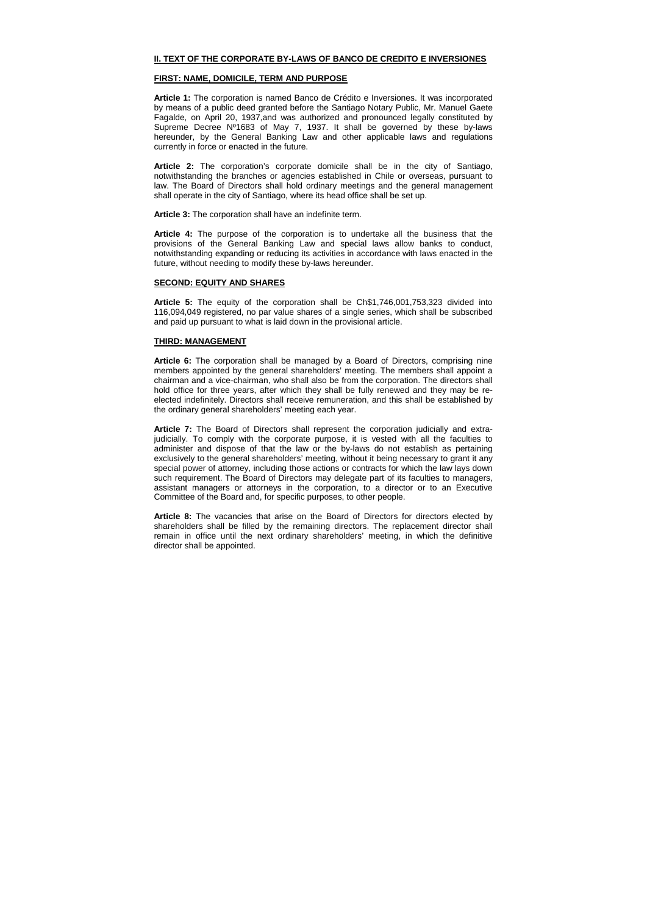### **II. TEXT OF THE CORPORATE BY-LAWS OF BANCO DE CREDITO E INVERSIONES**

### **FIRST: NAME, DOMICILE, TERM AND PURPOSE**

**Article 1:** The corporation is named Banco de Crédito e Inversiones. It was incorporated by means of a public deed granted before the Santiago Notary Public, Mr. Manuel Gaete Fagalde, on April 20, 1937,and was authorized and pronounced legally constituted by Supreme Decree Nº1683 of May 7, 1937. It shall be governed by these by-laws hereunder, by the General Banking Law and other applicable laws and regulations currently in force or enacted in the future.

**Article 2:** The corporation's corporate domicile shall be in the city of Santiago, notwithstanding the branches or agencies established in Chile or overseas, pursuant to law. The Board of Directors shall hold ordinary meetings and the general management shall operate in the city of Santiago, where its head office shall be set up.

**Article 3:** The corporation shall have an indefinite term.

**Article 4:** The purpose of the corporation is to undertake all the business that the provisions of the General Banking Law and special laws allow banks to conduct, notwithstanding expanding or reducing its activities in accordance with laws enacted in the future, without needing to modify these by-laws hereunder.

#### **SECOND: EQUITY AND SHARES**

**Article 5:** The equity of the corporation shall be Ch\$1,746,001,753,323 divided into 116,094,049 registered, no par value shares of a single series, which shall be subscribed and paid up pursuant to what is laid down in the provisional article.

### **THIRD: MANAGEMENT**

**Article 6:** The corporation shall be managed by a Board of Directors, comprising nine members appointed by the general shareholders' meeting. The members shall appoint a chairman and a vice-chairman, who shall also be from the corporation. The directors shall hold office for three years, after which they shall be fully renewed and they may be reelected indefinitely. Directors shall receive remuneration, and this shall be established by the ordinary general shareholders' meeting each year.

**Article 7:** The Board of Directors shall represent the corporation judicially and extrajudicially. To comply with the corporate purpose, it is vested with all the faculties to administer and dispose of that the law or the by-laws do not establish as pertaining exclusively to the general shareholders' meeting, without it being necessary to grant it any special power of attorney, including those actions or contracts for which the law lays down such requirement. The Board of Directors may delegate part of its faculties to managers, assistant managers or attorneys in the corporation, to a director or to an Executive Committee of the Board and, for specific purposes, to other people.

**Article 8:** The vacancies that arise on the Board of Directors for directors elected by shareholders shall be filled by the remaining directors. The replacement director shall remain in office until the next ordinary shareholders' meeting, in which the definitive director shall be appointed.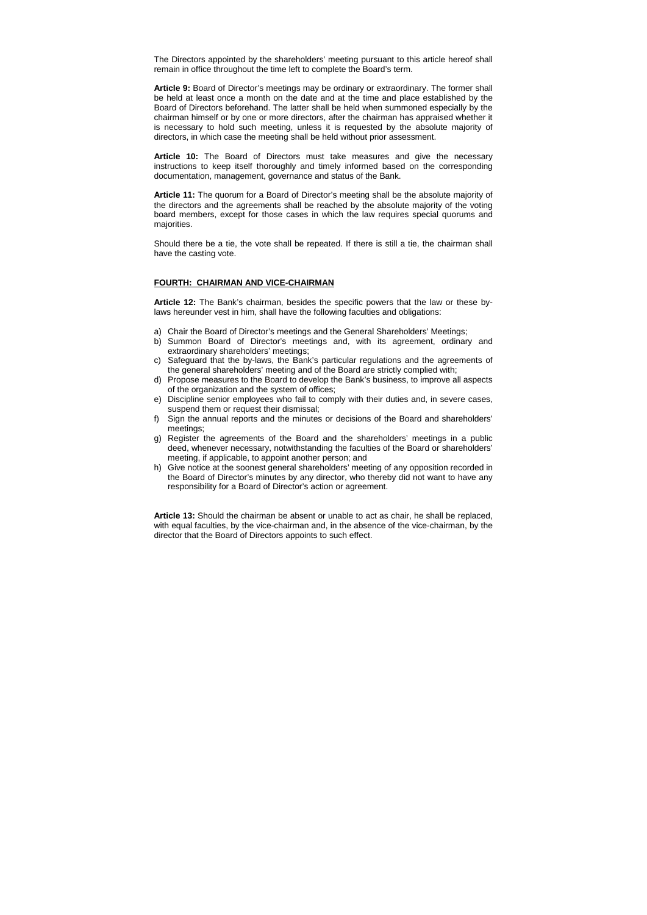The Directors appointed by the shareholders' meeting pursuant to this article hereof shall remain in office throughout the time left to complete the Board's term.

**Article 9:** Board of Director's meetings may be ordinary or extraordinary. The former shall be held at least once a month on the date and at the time and place established by the Board of Directors beforehand. The latter shall be held when summoned especially by the chairman himself or by one or more directors, after the chairman has appraised whether it is necessary to hold such meeting, unless it is requested by the absolute majority of directors, in which case the meeting shall be held without prior assessment.

**Article 10:** The Board of Directors must take measures and give the necessary instructions to keep itself thoroughly and timely informed based on the corresponding documentation, management, governance and status of the Bank.

**Article 11:** The quorum for a Board of Director's meeting shall be the absolute majority of the directors and the agreements shall be reached by the absolute majority of the voting board members, except for those cases in which the law requires special quorums and majorities.

Should there be a tie, the vote shall be repeated. If there is still a tie, the chairman shall have the casting vote.

### **FOURTH: CHAIRMAN AND VICE-CHAIRMAN**

**Article 12:** The Bank's chairman, besides the specific powers that the law or these bylaws hereunder vest in him, shall have the following faculties and obligations:

- a) Chair the Board of Director's meetings and the General Shareholders' Meetings;
- b) Summon Board of Director's meetings and, with its agreement, ordinary and extraordinary shareholders' meetings;
- c) Safeguard that the by-laws, the Bank's particular regulations and the agreements of the general shareholders' meeting and of the Board are strictly complied with;
- d) Propose measures to the Board to develop the Bank's business, to improve all aspects of the organization and the system of offices;
- e) Discipline senior employees who fail to comply with their duties and, in severe cases, suspend them or request their dismissal;
- f) Sign the annual reports and the minutes or decisions of the Board and shareholders' meetings;
- g) Register the agreements of the Board and the shareholders' meetings in a public deed, whenever necessary, notwithstanding the faculties of the Board or shareholders' meeting, if applicable, to appoint another person; and
- h) Give notice at the soonest general shareholders' meeting of any opposition recorded in the Board of Director's minutes by any director, who thereby did not want to have any responsibility for a Board of Director's action or agreement.

**Article 13:** Should the chairman be absent or unable to act as chair, he shall be replaced, with equal faculties, by the vice-chairman and, in the absence of the vice-chairman, by the director that the Board of Directors appoints to such effect.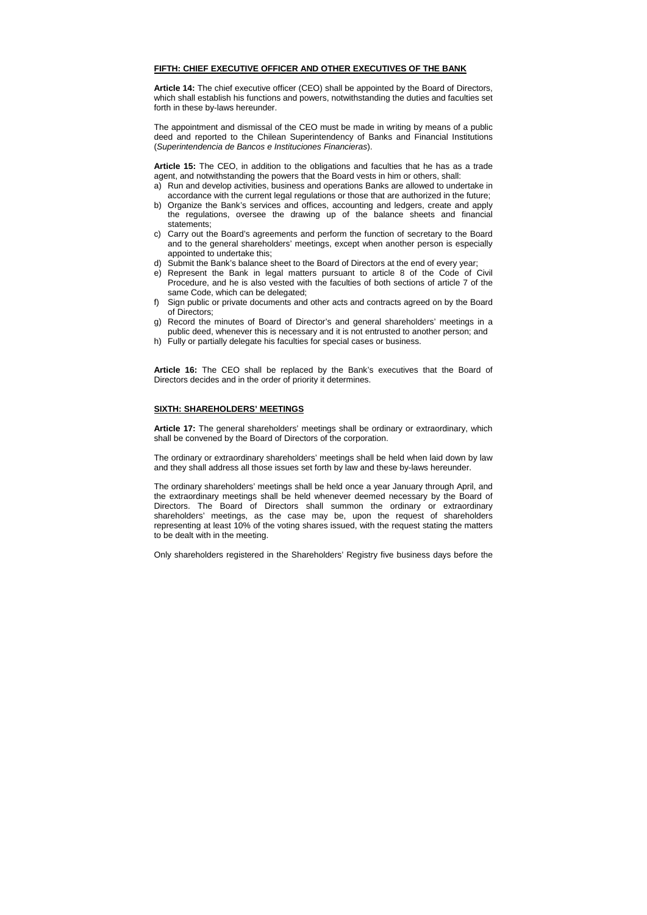### **FIFTH: CHIEF EXECUTIVE OFFICER AND OTHER EXECUTIVES OF THE BANK**

**Article 14:** The chief executive officer (CEO) shall be appointed by the Board of Directors, which shall establish his functions and powers, notwithstanding the duties and faculties set forth in these by-laws hereunder.

The appointment and dismissal of the CEO must be made in writing by means of a public deed and reported to the Chilean Superintendency of Banks and Financial Institutions (Superintendencia de Bancos e Instituciones Financieras).

**Article 15:** The CEO, in addition to the obligations and faculties that he has as a trade agent, and notwithstanding the powers that the Board vests in him or others, shall:

- a) Run and develop activities, business and operations Banks are allowed to undertake in accordance with the current legal regulations or those that are authorized in the future;
- b) Organize the Bank's services and offices, accounting and ledgers, create and apply the regulations, oversee the drawing up of the balance sheets and financial statements;
- c) Carry out the Board's agreements and perform the function of secretary to the Board and to the general shareholders' meetings, except when another person is especially appointed to undertake this;
- d) Submit the Bank's balance sheet to the Board of Directors at the end of every year;
- e) Represent the Bank in legal matters pursuant to article 8 of the Code of Civil Procedure, and he is also vested with the faculties of both sections of article 7 of the same Code, which can be delegated;
- f) Sign public or private documents and other acts and contracts agreed on by the Board of Directors;
- g) Record the minutes of Board of Director's and general shareholders' meetings in a public deed, whenever this is necessary and it is not entrusted to another person; and
- h) Fully or partially delegate his faculties for special cases or business.

**Article 16:** The CEO shall be replaced by the Bank's executives that the Board of Directors decides and in the order of priority it determines.

## **SIXTH: SHAREHOLDERS' MEETINGS**

**Article 17:** The general shareholders' meetings shall be ordinary or extraordinary, which shall be convened by the Board of Directors of the corporation.

The ordinary or extraordinary shareholders' meetings shall be held when laid down by law and they shall address all those issues set forth by law and these by-laws hereunder.

The ordinary shareholders' meetings shall be held once a year January through April, and the extraordinary meetings shall be held whenever deemed necessary by the Board of Directors. The Board of Directors shall summon the ordinary or extraordinary shareholders' meetings, as the case may be, upon the request of shareholders representing at least 10% of the voting shares issued, with the request stating the matters to be dealt with in the meeting.

Only shareholders registered in the Shareholders' Registry five business days before the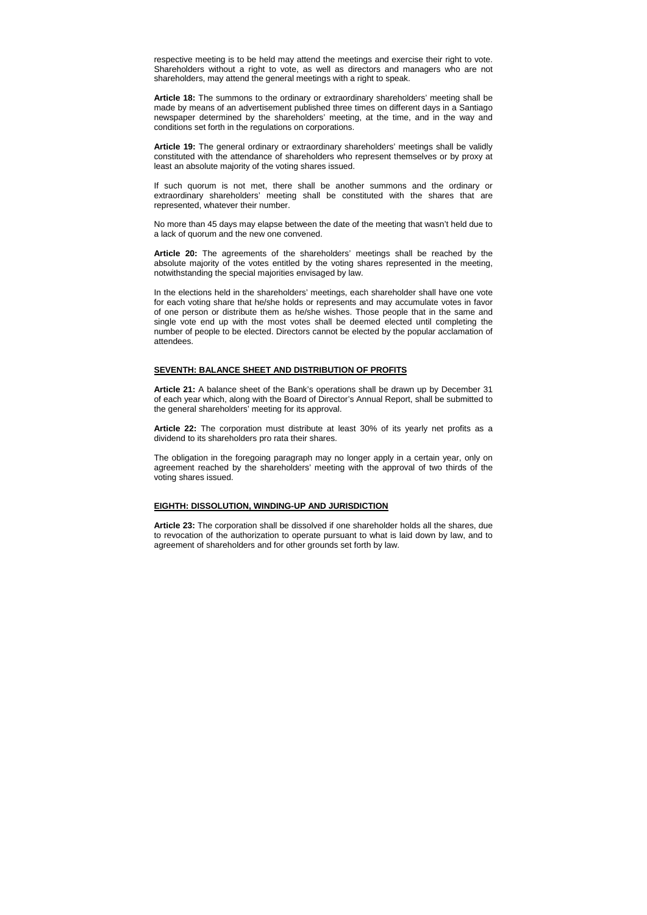respective meeting is to be held may attend the meetings and exercise their right to vote. Shareholders without a right to vote, as well as directors and managers who are not shareholders, may attend the general meetings with a right to speak.

**Article 18:** The summons to the ordinary or extraordinary shareholders' meeting shall be made by means of an advertisement published three times on different days in a Santiago newspaper determined by the shareholders' meeting, at the time, and in the way and conditions set forth in the regulations on corporations.

**Article 19:** The general ordinary or extraordinary shareholders' meetings shall be validly constituted with the attendance of shareholders who represent themselves or by proxy at least an absolute majority of the voting shares issued.

If such quorum is not met, there shall be another summons and the ordinary or extraordinary shareholders' meeting shall be constituted with the shares that are represented, whatever their number.

No more than 45 days may elapse between the date of the meeting that wasn't held due to a lack of quorum and the new one convened.

**Article 20:** The agreements of the shareholders' meetings shall be reached by the absolute majority of the votes entitled by the voting shares represented in the meeting, notwithstanding the special majorities envisaged by law.

In the elections held in the shareholders' meetings, each shareholder shall have one vote for each voting share that he/she holds or represents and may accumulate votes in favor of one person or distribute them as he/she wishes. Those people that in the same and single vote end up with the most votes shall be deemed elected until completing the number of people to be elected. Directors cannot be elected by the popular acclamation of attendees.

### **SEVENTH: BALANCE SHEET AND DISTRIBUTION OF PROFITS**

**Article 21:** A balance sheet of the Bank's operations shall be drawn up by December 31 of each year which, along with the Board of Director's Annual Report, shall be submitted to the general shareholders' meeting for its approval.

**Article 22:** The corporation must distribute at least 30% of its yearly net profits as a dividend to its shareholders pro rata their shares.

The obligation in the foregoing paragraph may no longer apply in a certain year, only on agreement reached by the shareholders' meeting with the approval of two thirds of the voting shares issued.

### **EIGHTH: DISSOLUTION, WINDING-UP AND JURISDICTION**

**Article 23:** The corporation shall be dissolved if one shareholder holds all the shares, due to revocation of the authorization to operate pursuant to what is laid down by law, and to agreement of shareholders and for other grounds set forth by law.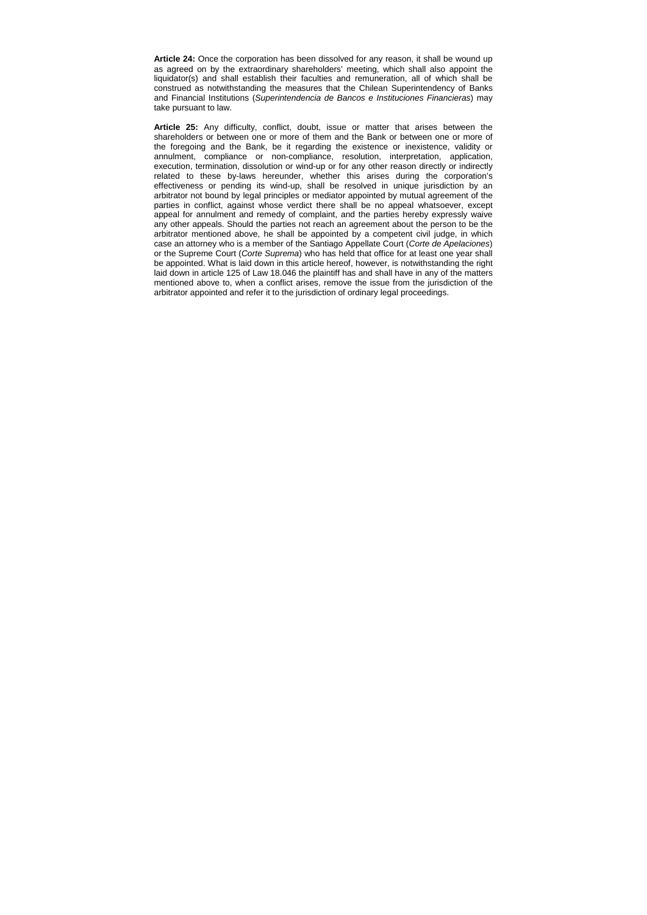**Article 24:** Once the corporation has been dissolved for any reason, it shall be wound up as agreed on by the extraordinary shareholders' meeting, which shall also appoint the liquidator(s) and shall establish their faculties and remuneration, all of which shall be construed as notwithstanding the measures that the Chilean Superintendency of Banks and Financial Institutions (Superintendencia de Bancos e Instituciones Financieras) may take pursuant to law.

**Article 25:** Any difficulty, conflict, doubt, issue or matter that arises between the shareholders or between one or more of them and the Bank or between one or more of the foregoing and the Bank, be it regarding the existence or inexistence, validity or annulment, compliance or non-compliance, resolution, interpretation, application, execution, termination, dissolution or wind-up or for any other reason directly or indirectly related to these by-laws hereunder, whether this arises during the corporation's effectiveness or pending its wind-up, shall be resolved in unique jurisdiction by an arbitrator not bound by legal principles or mediator appointed by mutual agreement of the parties in conflict, against whose verdict there shall be no appeal whatsoever, except appeal for annulment and remedy of complaint, and the parties hereby expressly waive any other appeals. Should the parties not reach an agreement about the person to be the arbitrator mentioned above, he shall be appointed by a competent civil judge, in which case an attorney who is a member of the Santiago Appellate Court (Corte de Apelaciones) or the Supreme Court (Corte Suprema) who has held that office for at least one year shall be appointed. What is laid down in this article hereof, however, is notwithstanding the right laid down in article 125 of Law 18.046 the plaintiff has and shall have in any of the matters mentioned above to, when a conflict arises, remove the issue from the jurisdiction of the arbitrator appointed and refer it to the jurisdiction of ordinary legal proceedings.